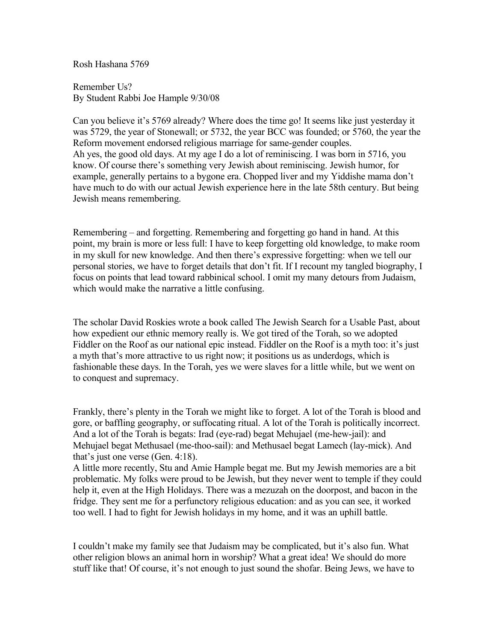Rosh Hashana 5769

Remember Us? By Student Rabbi Joe Hample 9/30/08

Can you believe it's 5769 already? Where does the time go! It seems like just yesterday it was 5729, the year of Stonewall; or 5732, the year BCC was founded; or 5760, the year the Reform movement endorsed religious marriage for same-gender couples. Ah yes, the good old days. At my age I do a lot of reminiscing. I was born in 5716, you know. Of course there's something very Jewish about reminiscing. Jewish humor, for example, generally pertains to a bygone era. Chopped liver and my Yiddishe mama don't have much to do with our actual Jewish experience here in the late 58th century. But being Jewish means remembering.

Remembering – and forgetting. Remembering and forgetting go hand in hand. At this point, my brain is more or less full: I have to keep forgetting old knowledge, to make room in my skull for new knowledge. And then there's expressive forgetting: when we tell our personal stories, we have to forget details that don't fit. If I recount my tangled biography, I focus on points that lead toward rabbinical school. I omit my many detours from Judaism, which would make the narrative a little confusing.

The scholar David Roskies wrote a book called The Jewish Search for a Usable Past, about how expedient our ethnic memory really is. We got tired of the Torah, so we adopted Fiddler on the Roof as our national epic instead. Fiddler on the Roof is a myth too: it's just a myth that's more attractive to us right now; it positions us as underdogs, which is fashionable these days. In the Torah, yes we were slaves for a little while, but we went on to conquest and supremacy.

Frankly, there's plenty in the Torah we might like to forget. A lot of the Torah is blood and gore, or baffling geography, or suffocating ritual. A lot of the Torah is politically incorrect. And a lot of the Torah is begats: Irad (eye-rad) begat Mehujael (me-hew-jail): and Mehujael begat Methusael (me-thoo-sail): and Methusael begat Lamech (lay-mick). And that's just one verse (Gen. 4:18).

A little more recently, Stu and Amie Hample begat me. But my Jewish memories are a bit problematic. My folks were proud to be Jewish, but they never went to temple if they could help it, even at the High Holidays. There was a mezuzah on the doorpost, and bacon in the fridge. They sent me for a perfunctory religious education: and as you can see, it worked too well. I had to fight for Jewish holidays in my home, and it was an uphill battle.

I couldn't make my family see that Judaism may be complicated, but it's also fun. What other religion blows an animal horn in worship? What a great idea! We should do more stuff like that! Of course, it's not enough to just sound the shofar. Being Jews, we have to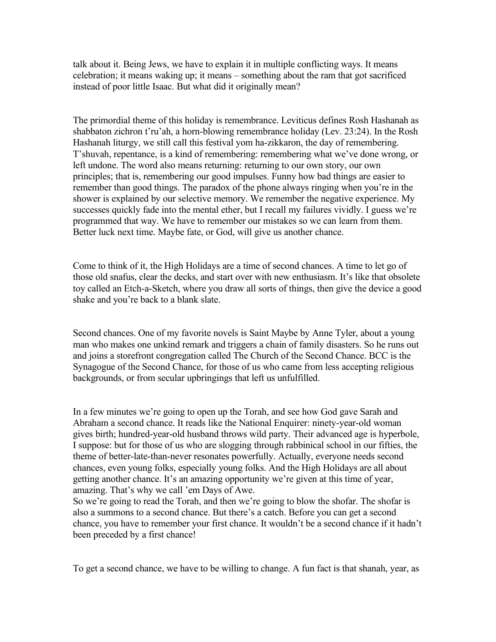talk about it. Being Jews, we have to explain it in multiple conflicting ways. It means celebration; it means waking up; it means – something about the ram that got sacrificed instead of poor little Isaac. But what did it originally mean?

The primordial theme of this holiday is remembrance. Leviticus defines Rosh Hashanah as shabbaton zichron t'ru'ah, a horn-blowing remembrance holiday (Lev. 23:24). In the Rosh Hashanah liturgy, we still call this festival yom ha-zikkaron, the day of remembering. T'shuvah, repentance, is a kind of remembering: remembering what we've done wrong, or left undone. The word also means returning: returning to our own story, our own principles; that is, remembering our good impulses. Funny how bad things are easier to remember than good things. The paradox of the phone always ringing when you're in the shower is explained by our selective memory. We remember the negative experience. My successes quickly fade into the mental ether, but I recall my failures vividly. I guess we're programmed that way. We have to remember our mistakes so we can learn from them. Better luck next time. Maybe fate, or God, will give us another chance.

Come to think of it, the High Holidays are a time of second chances. A time to let go of those old snafus, clear the decks, and start over with new enthusiasm. It's like that obsolete toy called an Etch-a-Sketch, where you draw all sorts of things, then give the device a good shake and you're back to a blank slate.

Second chances. One of my favorite novels is Saint Maybe by Anne Tyler, about a young man who makes one unkind remark and triggers a chain of family disasters. So he runs out and joins a storefront congregation called The Church of the Second Chance. BCC is the Synagogue of the Second Chance, for those of us who came from less accepting religious backgrounds, or from secular upbringings that left us unfulfilled.

In a few minutes we're going to open up the Torah, and see how God gave Sarah and Abraham a second chance. It reads like the National Enquirer: ninety-year-old woman gives birth; hundred-year-old husband throws wild party. Their advanced age is hyperbole, I suppose: but for those of us who are slogging through rabbinical school in our fifties, the theme of better-late-than-never resonates powerfully. Actually, everyone needs second chances, even young folks, especially young folks. And the High Holidays are all about getting another chance. It's an amazing opportunity we're given at this time of year, amazing. That's why we call 'em Days of Awe.

So we're going to read the Torah, and then we're going to blow the shofar. The shofar is also a summons to a second chance. But there's a catch. Before you can get a second chance, you have to remember your first chance. It wouldn't be a second chance if it hadn't been preceded by a first chance!

To get a second chance, we have to be willing to change. A fun fact is that shanah, year, as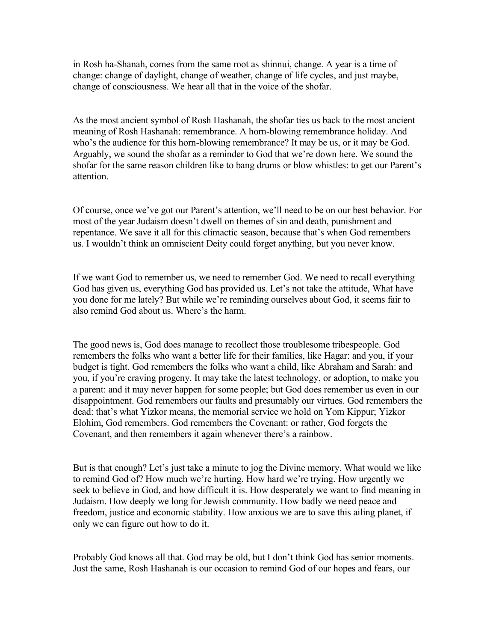in Rosh ha-Shanah, comes from the same root as shinnui, change. A year is a time of change: change of daylight, change of weather, change of life cycles, and just maybe, change of consciousness. We hear all that in the voice of the shofar.

As the most ancient symbol of Rosh Hashanah, the shofar ties us back to the most ancient meaning of Rosh Hashanah: remembrance. A horn-blowing remembrance holiday. And who's the audience for this horn-blowing remembrance? It may be us, or it may be God. Arguably, we sound the shofar as a reminder to God that we're down here. We sound the shofar for the same reason children like to bang drums or blow whistles: to get our Parent's attention.

Of course, once we've got our Parent's attention, we'll need to be on our best behavior. For most of the year Judaism doesn't dwell on themes of sin and death, punishment and repentance. We save it all for this climactic season, because that's when God remembers us. I wouldn't think an omniscient Deity could forget anything, but you never know.

If we want God to remember us, we need to remember God. We need to recall everything God has given us, everything God has provided us. Let's not take the attitude, What have you done for me lately? But while we're reminding ourselves about God, it seems fair to also remind God about us. Where's the harm.

The good news is, God does manage to recollect those troublesome tribespeople. God remembers the folks who want a better life for their families, like Hagar: and you, if your budget is tight. God remembers the folks who want a child, like Abraham and Sarah: and you, if you're craving progeny. It may take the latest technology, or adoption, to make you a parent: and it may never happen for some people; but God does remember us even in our disappointment. God remembers our faults and presumably our virtues. God remembers the dead: that's what Yizkor means, the memorial service we hold on Yom Kippur; Yizkor Elohim, God remembers. God remembers the Covenant: or rather, God forgets the Covenant, and then remembers it again whenever there's a rainbow.

But is that enough? Let's just take a minute to jog the Divine memory. What would we like to remind God of? How much we're hurting. How hard we're trying. How urgently we seek to believe in God, and how difficult it is. How desperately we want to find meaning in Judaism. How deeply we long for Jewish community. How badly we need peace and freedom, justice and economic stability. How anxious we are to save this ailing planet, if only we can figure out how to do it.

Probably God knows all that. God may be old, but I don't think God has senior moments. Just the same, Rosh Hashanah is our occasion to remind God of our hopes and fears, our